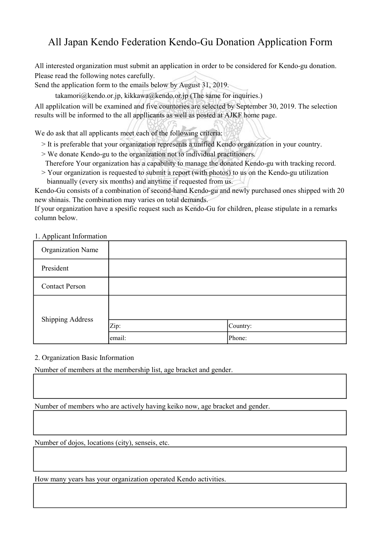## All Japan Kendo Federation Kendo-Gu Donation Application Form

All interested organization must submit an application in order to be considered for Kendo-gu donation. Please read the following notes carefully.

Send the application form to the emails below by August 31, 2019.

 $t$ akamori@kendo.or.jp, kikkawa@kendo.or.jp (The same for inquiries.)

All applilcation will be examined and five countories are selected by September 30, 2019. The selection results will be informed to the all appllicants as well as posted at AJKF home page.

We do ask that all applicants meet each of the following criteria:

- > It is preferable that your organization represents a unified Kendo organization in your country.
- > We donate Kendo-gu to the organization not to individual practitioners.
- Therefore Your organization has a capability to manage the donated Kendo-gu with tracking record.
- > Your organization is requested to submit a report (with photos) to us on the Kendo-gu utilization biannually (every six months) and anytime if requested from us.

Kendo-Gu consists of a combination of second-hand Kendo-gu and newly purchased ones shipped with 20 new shinais. The combination may varies on total demands.

If your organization have a spesific request such as Kendo-Gu for children, please stipulate in a remarks column below.

1. Applicant Information

| <b>Organization Name</b> |        |          |
|--------------------------|--------|----------|
| President                |        |          |
| <b>Contact Person</b>    |        |          |
| <b>Shipping Address</b>  |        |          |
|                          | Zip:   | Country: |
|                          | email: | Phone:   |

2. Organization Basic Information

Number of members at the membership list, age bracket and gender.

Number of members who are actively having keiko now, age bracket and gender.

Number of dojos, locations (city), senseis, etc.

How many years has your organization operated Kendo activities.